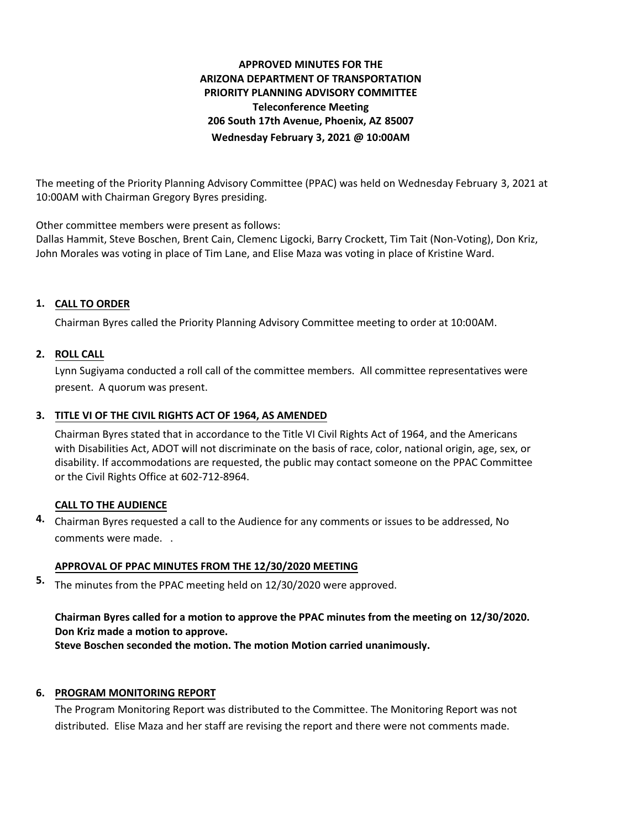# **APPROVED MINUTES FOR THE ARIZONA DEPARTMENT OF TRANSPORTATION PRIORITY PLANNING ADVISORY COMMITTEE Teleconference Meeting 206 South 17th Avenue, Phoenix, AZ 85007 Wednesday February 3, 2021 @ 10:00AM**

The meeting of the Priority Planning Advisory Committee (PPAC) was held on Wednesday February 3, 2021 at 10:00AM with Chairman Gregory Byres presiding.

Other committee members were present as follows:

Dallas Hammit, Steve Boschen, Brent Cain, Clemenc Ligocki, Barry Crockett, Tim Tait (Non-Voting), Don Kriz, John Morales was voting in place of Tim Lane, and Elise Maza was voting in place of Kristine Ward.

# **CALL TO ORDER 1.**

Chairman Byres called the Priority Planning Advisory Committee meeting to order at 10:00AM.

## **ROLL CALL 2.**

Lynn Sugiyama conducted a roll call of the committee members. All committee representatives were present. A quorum was present.

## **TITLE VI OF THE CIVIL RIGHTS ACT OF 1964, AS AMENDED 3.**

Chairman Byres stated that in accordance to the Title VI Civil Rights Act of 1964, and the Americans with Disabilities Act, ADOT will not discriminate on the basis of race, color, national origin, age, sex, or disability. If accommodations are requested, the public may contact someone on the PPAC Committee or the Civil Rights Office at 602-712-8964.

## **CALL TO THE AUDIENCE**

Chairman Byres requested a call to the Audience for any comments or issues to be addressed, No **4.** comments were made. .

## **APPROVAL OF PPAC MINUTES FROM THE 12/30/2020 MEETING**

The minutes from the PPAC meeting held on 12/30/2020 were approved. **5.**

# **Chairman Byres called for a motion to approve the PPAC minutes from the meeting on 12/30/2020. Don Kriz made a motion to approve.**

**Steve Boschen seconded the motion. The motion Motion carried unanimously.**

## **6. PROGRAM MONITORING REPORT**

The Program Monitoring Report was distributed to the Committee. The Monitoring Report was not distributed. Elise Maza and her staff are revising the report and there were not comments made.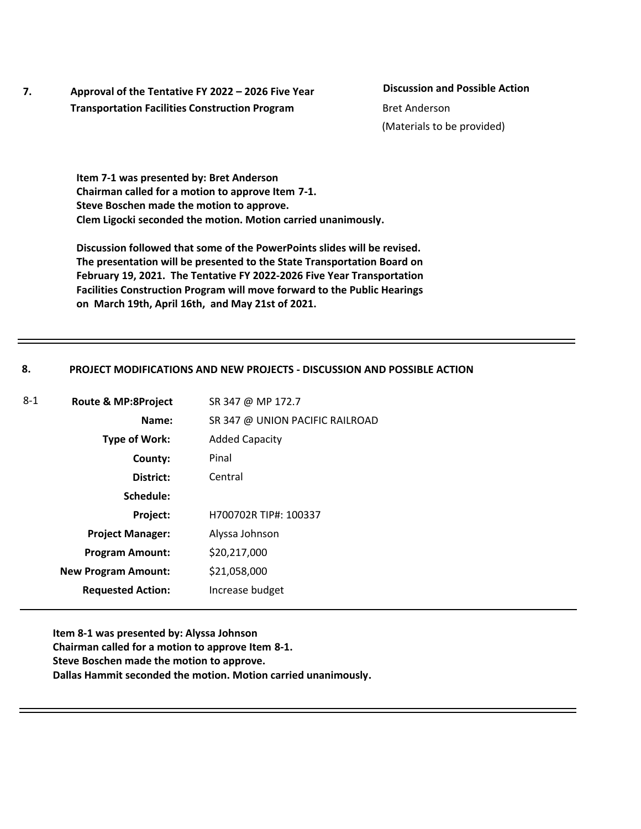**7. Approval of the Tentative FY 2022 – 2026 Five Year Transportation Facilities Construction Program**

**Discussion and Possible Action** (Materials to be provided) Bret Anderson

**Item 7-1 was presented by: Bret Anderson Chairman called for a motion to approve Item 7-1. Steve Boschen made the motion to approve. Clem Ligocki seconded the motion. Motion carried unanimously.**

**Discussion followed that some of the PowerPoints slides will be revised. The presentation will be presented to the State Transportation Board on February 19, 2021. The Tentative FY 2022-2026 Five Year Transportation Facilities Construction Program will move forward to the Public Hearings on March 19th, April 16th, and May 21st of 2021.** 

#### **8. PROJECT MODIFICATIONS AND NEW PROJECTS - DISCUSSION AND POSSIBLE ACTION**

| SR 347 @ UNION PACIFIC RAILROAD<br>Name:<br><b>Type of Work:</b><br><b>Added Capacity</b><br>Pinal<br>County:<br>District:<br>Central<br>Schedule:<br>H700702R TIP#: 100337<br>Project:<br>Alyssa Johnson<br><b>Project Manager:</b><br>\$20,217,000<br><b>Program Amount:</b><br>\$21,058,000<br><b>New Program Amount:</b><br><b>Requested Action:</b><br>Increase budget | 8-1 | Route & MP:8Project | SR 347 @ MP 172.7 |
|-----------------------------------------------------------------------------------------------------------------------------------------------------------------------------------------------------------------------------------------------------------------------------------------------------------------------------------------------------------------------------|-----|---------------------|-------------------|
|                                                                                                                                                                                                                                                                                                                                                                             |     |                     |                   |
|                                                                                                                                                                                                                                                                                                                                                                             |     |                     |                   |
|                                                                                                                                                                                                                                                                                                                                                                             |     |                     |                   |
|                                                                                                                                                                                                                                                                                                                                                                             |     |                     |                   |
|                                                                                                                                                                                                                                                                                                                                                                             |     |                     |                   |
|                                                                                                                                                                                                                                                                                                                                                                             |     |                     |                   |
|                                                                                                                                                                                                                                                                                                                                                                             |     |                     |                   |
|                                                                                                                                                                                                                                                                                                                                                                             |     |                     |                   |
|                                                                                                                                                                                                                                                                                                                                                                             |     |                     |                   |
|                                                                                                                                                                                                                                                                                                                                                                             |     |                     |                   |

**Item 8-1 was presented by: Alyssa Johnson Chairman called for a motion to approve Item 8-1. Steve Boschen made the motion to approve. Dallas Hammit seconded the motion. Motion carried unanimously.**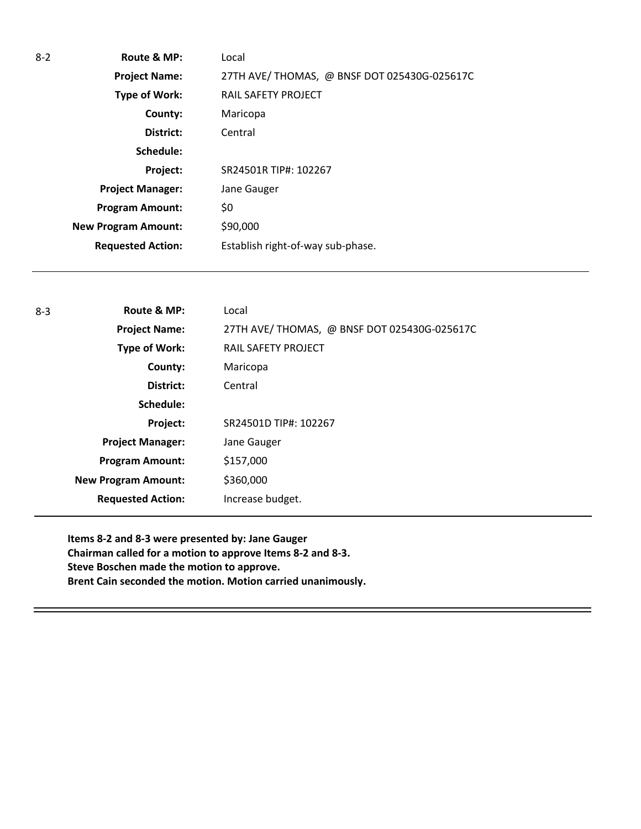| $8 - 2$ | Route & MP:                | Local                                       |
|---------|----------------------------|---------------------------------------------|
|         | <b>Project Name:</b>       | 27TH AVE/THOMAS, @ BNSF DOT 025430G-025617C |
|         | Type of Work:              | RAIL SAFETY PROJECT                         |
|         | County:                    | Maricopa                                    |
|         | District:                  | Central                                     |
|         | Schedule:                  |                                             |
|         | Project:                   | SR24501R TIP#: 102267                       |
|         | <b>Project Manager:</b>    | Jane Gauger                                 |
|         | <b>Program Amount:</b>     | \$0                                         |
|         | <b>New Program Amount:</b> | \$90,000                                    |
|         | <b>Requested Action:</b>   | Establish right-of-way sub-phase.           |
|         |                            |                                             |

| $8 - 3$ | Route & MP:                | Local                                       |
|---------|----------------------------|---------------------------------------------|
|         | <b>Project Name:</b>       | 27TH AVE/THOMAS, @ BNSF DOT 025430G-025617C |
|         | Type of Work:              | RAIL SAFETY PROJECT                         |
|         | County:                    | Maricopa                                    |
|         | District:                  | Central                                     |
|         | Schedule:                  |                                             |
|         | Project:                   | SR24501D TIP#: 102267                       |
|         | <b>Project Manager:</b>    | Jane Gauger                                 |
|         | <b>Program Amount:</b>     | \$157,000                                   |
|         | <b>New Program Amount:</b> | \$360,000                                   |
|         | <b>Requested Action:</b>   | Increase budget.                            |

**Items 8-2 and 8-3 were presented by: Jane Gauger Chairman called for a motion to approve Items 8-2 and 8-3. Steve Boschen made the motion to approve. Brent Cain seconded the motion. Motion carried unanimously.**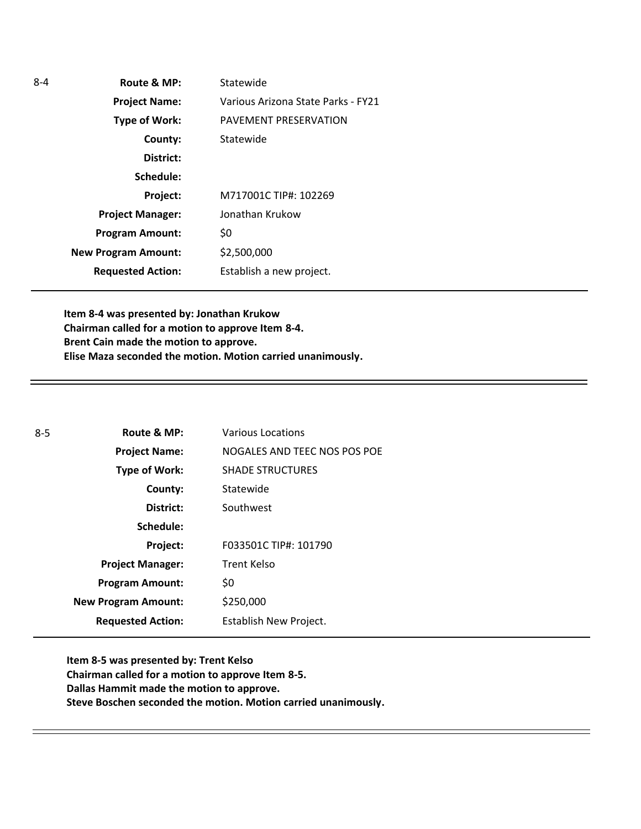| $8 - 4$ | Route & MP:                | Statewide                          |
|---------|----------------------------|------------------------------------|
|         | <b>Project Name:</b>       | Various Arizona State Parks - FY21 |
|         | <b>Type of Work:</b>       | PAVEMENT PRESERVATION              |
|         | County:                    | Statewide                          |
|         | District:                  |                                    |
|         | Schedule:                  |                                    |
|         | Project:                   | M717001C TIP#: 102269              |
|         | <b>Project Manager:</b>    | Jonathan Krukow                    |
|         | <b>Program Amount:</b>     | \$0                                |
|         | <b>New Program Amount:</b> | \$2,500,000                        |
|         | <b>Requested Action:</b>   | Establish a new project.           |

**Item 8-4 was presented by: Jonathan Krukow Chairman called for a motion to approve Item 8-4. Brent Cain made the motion to approve. Elise Maza seconded the motion. Motion carried unanimously.**

| Route & MP:                | <b>Various Locations</b>     |
|----------------------------|------------------------------|
| <b>Project Name:</b>       | NOGALES AND TEEC NOS POS POE |
| Type of Work:              | <b>SHADE STRUCTURES</b>      |
| County:                    | Statewide                    |
| District:                  | Southwest                    |
| Schedule:                  |                              |
| Project:                   | F033501C TIP#: 101790        |
| <b>Project Manager:</b>    | Trent Kelso                  |
| <b>Program Amount:</b>     | \$0                          |
| <b>New Program Amount:</b> | \$250,000                    |
| <b>Requested Action:</b>   | Establish New Project.       |
|                            |                              |

**Item 8-5 was presented by: Trent Kelso Chairman called for a motion to approve Item 8-5. Dallas Hammit made the motion to approve. Steve Boschen seconded the motion. Motion carried unanimously.**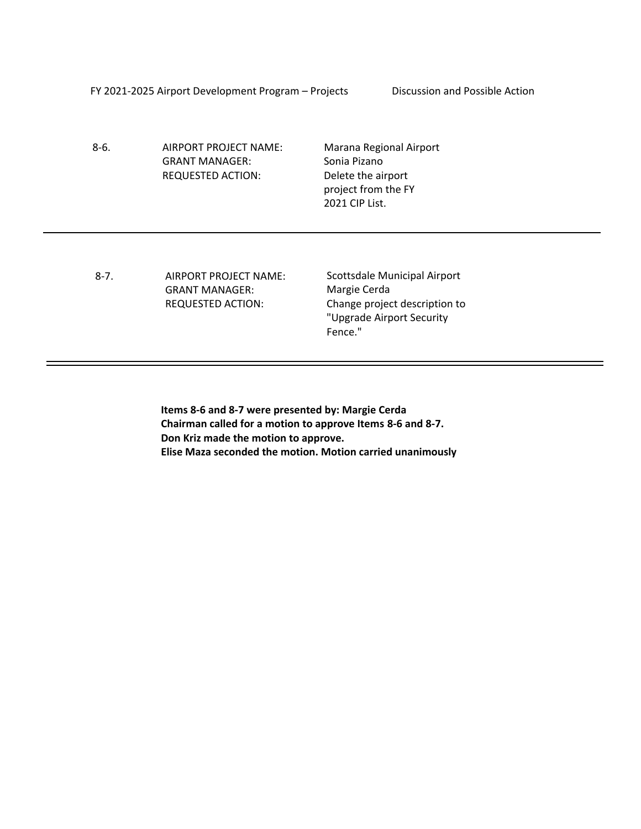FY 2021-2025 Airport Development Program – Projects Discussion and Possible Action

8-6. AIRPORT PROJECT NAME: GRANT MANAGER: REQUESTED ACTION:

Marana Regional Airport Sonia Pizano Delete the airport project from the FY 2021 CIP List.

8-7. AIRPORT PROJECT NAME: GRANT MANAGER: REQUESTED ACTION:

Scottsdale Municipal Airport Margie Cerda Change project description to "Upgrade Airport Security Fence."

**Items 8-6 and 8-7 were presented by: Margie Cerda Chairman called for a motion to approve Items 8-6 and 8-7. Don Kriz made the motion to approve. Elise Maza seconded the motion. Motion carried unanimously**